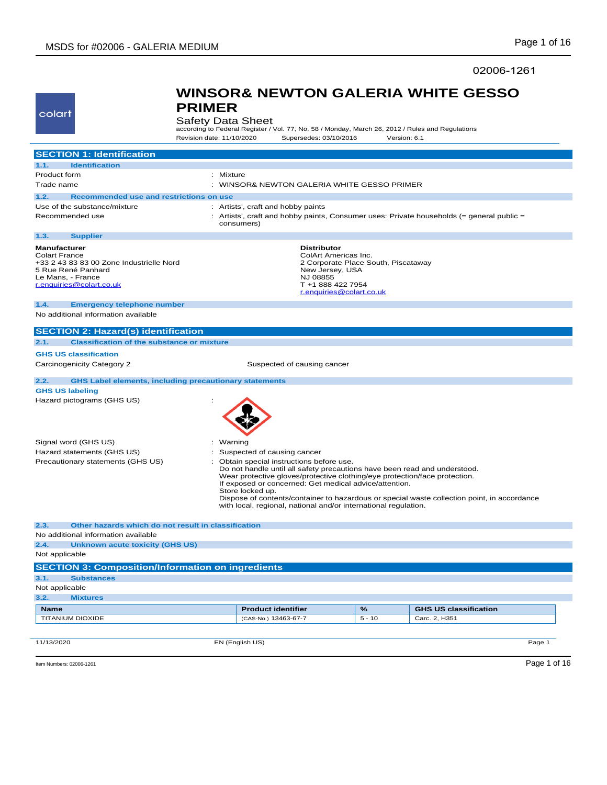colart

**PRIMER**

02006-1261

| colart                                                      | <b>Safety Data Sheet</b><br>according to Federal Register / Vol. 77, No. 58 / Monday, March 26, 2012 / Rules and Regulations |                                                                                                                                                                                                                                                                |          |                                                                                             |
|-------------------------------------------------------------|------------------------------------------------------------------------------------------------------------------------------|----------------------------------------------------------------------------------------------------------------------------------------------------------------------------------------------------------------------------------------------------------------|----------|---------------------------------------------------------------------------------------------|
|                                                             | Revision date: 11/10/2020                                                                                                    | Supersedes: 03/10/2016                                                                                                                                                                                                                                         |          | Version: 6.1                                                                                |
| <b>SECTION 1: Identification</b>                            |                                                                                                                              |                                                                                                                                                                                                                                                                |          |                                                                                             |
| <b>Identification</b><br>1.1.                               |                                                                                                                              |                                                                                                                                                                                                                                                                |          |                                                                                             |
| Product form                                                | : Mixture                                                                                                                    |                                                                                                                                                                                                                                                                |          |                                                                                             |
| Trade name                                                  |                                                                                                                              | : WINSOR& NEWTON GALERIA WHITE GESSO PRIMER                                                                                                                                                                                                                    |          |                                                                                             |
| 1.2.<br>Recommended use and restrictions on use             |                                                                                                                              |                                                                                                                                                                                                                                                                |          |                                                                                             |
| Use of the substance/mixture                                |                                                                                                                              | : Artists', craft and hobby paints                                                                                                                                                                                                                             |          |                                                                                             |
| Recommended use                                             | consumers)                                                                                                                   |                                                                                                                                                                                                                                                                |          | : Artists', craft and hobby paints, Consumer uses: Private households (= general public =   |
| 1.3.<br><b>Supplier</b>                                     |                                                                                                                              |                                                                                                                                                                                                                                                                |          |                                                                                             |
| <b>Manufacturer</b><br><b>Colart France</b>                 |                                                                                                                              | <b>Distributor</b>                                                                                                                                                                                                                                             |          |                                                                                             |
| +33 2 43 83 83 00 Zone Industrielle Nord                    |                                                                                                                              | ColArt Americas Inc.<br>2 Corporate Place South, Piscataway                                                                                                                                                                                                    |          |                                                                                             |
| 5 Rue René Panhard                                          |                                                                                                                              | New Jersey, USA                                                                                                                                                                                                                                                |          |                                                                                             |
| Le Mans, - France<br>r.enquiries@colart.co.uk               |                                                                                                                              | NJ 08855<br>T +1 888 422 7954                                                                                                                                                                                                                                  |          |                                                                                             |
|                                                             |                                                                                                                              | r.enquiries@colart.co.uk                                                                                                                                                                                                                                       |          |                                                                                             |
| 1.4.<br><b>Emergency telephone number</b>                   |                                                                                                                              |                                                                                                                                                                                                                                                                |          |                                                                                             |
| No additional information available                         |                                                                                                                              |                                                                                                                                                                                                                                                                |          |                                                                                             |
| <b>SECTION 2: Hazard(s) identification</b>                  |                                                                                                                              |                                                                                                                                                                                                                                                                |          |                                                                                             |
| 2.1.<br><b>Classification of the substance or mixture</b>   |                                                                                                                              |                                                                                                                                                                                                                                                                |          |                                                                                             |
| <b>GHS US classification</b>                                |                                                                                                                              |                                                                                                                                                                                                                                                                |          |                                                                                             |
| Carcinogenicity Category 2                                  |                                                                                                                              | Suspected of causing cancer                                                                                                                                                                                                                                    |          |                                                                                             |
| 2.2.                                                        | <b>GHS Label elements, including precautionary statements</b>                                                                |                                                                                                                                                                                                                                                                |          |                                                                                             |
| <b>GHS US labeling</b>                                      |                                                                                                                              |                                                                                                                                                                                                                                                                |          |                                                                                             |
| Hazard pictograms (GHS US)                                  |                                                                                                                              |                                                                                                                                                                                                                                                                |          |                                                                                             |
| Signal word (GHS US)                                        | : Warning                                                                                                                    |                                                                                                                                                                                                                                                                |          |                                                                                             |
| Hazard statements (GHS US)                                  |                                                                                                                              | : Suspected of causing cancer                                                                                                                                                                                                                                  |          |                                                                                             |
| Precautionary statements (GHS US)                           |                                                                                                                              | : Obtain special instructions before use.<br>Do not handle until all safety precautions have been read and understood.<br>Wear protective gloves/protective clothing/eye protection/face protection.<br>If exposed or concerned: Get medical advice/attention. |          |                                                                                             |
|                                                             | Store locked up.                                                                                                             | with local, regional, national and/or international regulation.                                                                                                                                                                                                |          | Dispose of contents/container to hazardous or special waste collection point, in accordance |
| Other hazards which do not result in classification<br>2.3. |                                                                                                                              |                                                                                                                                                                                                                                                                |          |                                                                                             |
| No additional information available                         |                                                                                                                              |                                                                                                                                                                                                                                                                |          |                                                                                             |
| 2.4.<br><b>Unknown acute toxicity (GHS US)</b>              |                                                                                                                              |                                                                                                                                                                                                                                                                |          |                                                                                             |
| Not applicable                                              |                                                                                                                              |                                                                                                                                                                                                                                                                |          |                                                                                             |
| <b>SECTION 3: Composition/Information on ingredients</b>    |                                                                                                                              |                                                                                                                                                                                                                                                                |          |                                                                                             |
| 3.1.<br><b>Substances</b>                                   |                                                                                                                              |                                                                                                                                                                                                                                                                |          |                                                                                             |
| Not applicable                                              |                                                                                                                              |                                                                                                                                                                                                                                                                |          |                                                                                             |
| 3.2.<br><b>Mixtures</b>                                     |                                                                                                                              |                                                                                                                                                                                                                                                                |          |                                                                                             |
| <b>Name</b>                                                 |                                                                                                                              | <b>Product identifier</b>                                                                                                                                                                                                                                      | %        | <b>GHS US classification</b>                                                                |
| <b>TITANIUM DIOXIDE</b>                                     |                                                                                                                              | (CAS-No.) 13463-67-7                                                                                                                                                                                                                                           | $5 - 10$ | Carc. 2, H351                                                                               |
| 11/13/2020                                                  | EN (English US)                                                                                                              |                                                                                                                                                                                                                                                                |          | Page 1                                                                                      |
|                                                             |                                                                                                                              |                                                                                                                                                                                                                                                                |          |                                                                                             |
| Item Numbers: 02006-1261                                    |                                                                                                                              |                                                                                                                                                                                                                                                                |          | Page 1 of 16                                                                                |

**WINSOR& NEWTON GALERIA WHITE GESSO**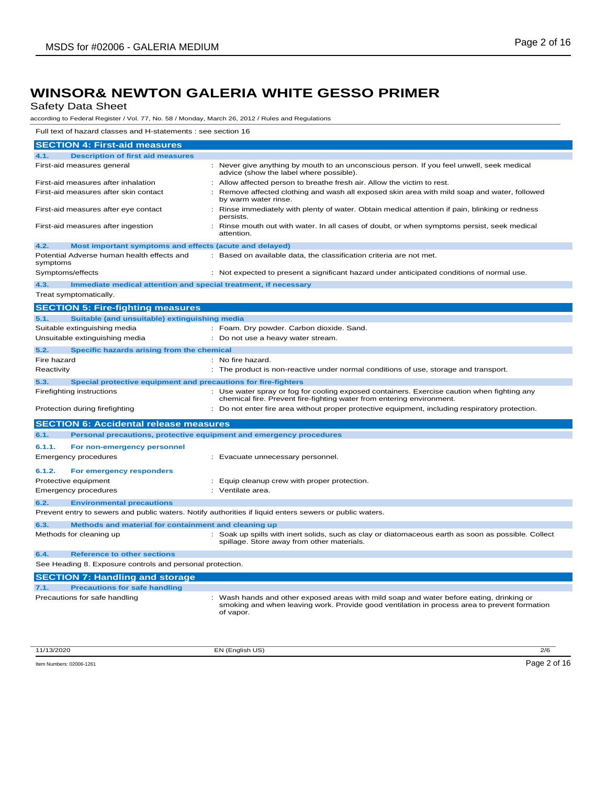Safety Data Sheet

according to Federal Register / Vol. 77, No. 58 / Monday, March 26, 2012 / Rules and Regulations

Full text of hazard classes and H-statements : see section 16

| <b>SECTION 4: First-aid measures</b>                                                                    |                                                                                                                                                                                                       |
|---------------------------------------------------------------------------------------------------------|-------------------------------------------------------------------------------------------------------------------------------------------------------------------------------------------------------|
| <b>Description of first aid measures</b><br>4.1.                                                        |                                                                                                                                                                                                       |
| First-aid measures general                                                                              | : Never give anything by mouth to an unconscious person. If you feel unwell, seek medical<br>advice (show the label where possible).                                                                  |
| First-aid measures after inhalation                                                                     | : Allow affected person to breathe fresh air. Allow the victim to rest.                                                                                                                               |
| First-aid measures after skin contact                                                                   | : Remove affected clothing and wash all exposed skin area with mild soap and water, followed<br>by warm water rinse.                                                                                  |
| First-aid measures after eye contact                                                                    | : Rinse immediately with plenty of water. Obtain medical attention if pain, blinking or redness<br>persists.                                                                                          |
| First-aid measures after ingestion                                                                      | : Rinse mouth out with water. In all cases of doubt, or when symptoms persist, seek medical<br>attention.                                                                                             |
| 4.2.<br>Most important symptoms and effects (acute and delayed)                                         |                                                                                                                                                                                                       |
| Potential Adverse human health effects and<br>symptoms                                                  | : Based on available data, the classification criteria are not met.                                                                                                                                   |
| Symptoms/effects                                                                                        | : Not expected to present a significant hazard under anticipated conditions of normal use.                                                                                                            |
| 4.3.<br>Immediate medical attention and special treatment, if necessary                                 |                                                                                                                                                                                                       |
| Treat symptomatically.                                                                                  |                                                                                                                                                                                                       |
| <b>SECTION 5: Fire-fighting measures</b>                                                                |                                                                                                                                                                                                       |
| Suitable (and unsuitable) extinguishing media<br>5.1.                                                   |                                                                                                                                                                                                       |
| Suitable extinguishing media                                                                            | : Foam. Dry powder. Carbon dioxide. Sand.                                                                                                                                                             |
| Unsuitable extinguishing media                                                                          | : Do not use a heavy water stream.                                                                                                                                                                    |
| Specific hazards arising from the chemical<br>5.2.                                                      |                                                                                                                                                                                                       |
| Fire hazard                                                                                             | : No fire hazard.                                                                                                                                                                                     |
| Reactivity                                                                                              | : The product is non-reactive under normal conditions of use, storage and transport.                                                                                                                  |
| 5.3.<br>Special protective equipment and precautions for fire-fighters                                  |                                                                                                                                                                                                       |
| Firefighting instructions                                                                               | : Use water spray or fog for cooling exposed containers. Exercise caution when fighting any<br>chemical fire. Prevent fire-fighting water from entering environment.                                  |
| Protection during firefighting                                                                          | : Do not enter fire area without proper protective equipment, including respiratory protection.                                                                                                       |
| <b>SECTION 6: Accidental release measures</b>                                                           |                                                                                                                                                                                                       |
| 6.1.<br>Personal precautions, protective equipment and emergency procedures                             |                                                                                                                                                                                                       |
| 6.1.1.<br>For non-emergency personnel                                                                   |                                                                                                                                                                                                       |
| <b>Emergency procedures</b>                                                                             | : Evacuate unnecessary personnel.                                                                                                                                                                     |
| 6.1.2.<br>For emergency responders                                                                      |                                                                                                                                                                                                       |
| Protective equipment                                                                                    | : Equip cleanup crew with proper protection.                                                                                                                                                          |
| <b>Emergency procedures</b>                                                                             | : Ventilate area.                                                                                                                                                                                     |
| <b>Environmental precautions</b><br>6.2.                                                                |                                                                                                                                                                                                       |
| Prevent entry to sewers and public waters. Notify authorities if liquid enters sewers or public waters. |                                                                                                                                                                                                       |
| Methods and material for containment and cleaning up<br>6.3.                                            |                                                                                                                                                                                                       |
| Methods for cleaning up                                                                                 | : Soak up spills with inert solids, such as clay or diatomaceous earth as soon as possible. Collect                                                                                                   |
|                                                                                                         | spillage. Store away from other materials.                                                                                                                                                            |
| 6.4.<br><b>Reference to other sections</b>                                                              |                                                                                                                                                                                                       |
| See Heading 8. Exposure controls and personal protection.                                               |                                                                                                                                                                                                       |
| <b>SECTION 7: Handling and storage</b>                                                                  |                                                                                                                                                                                                       |
| <b>Precautions for safe handling</b><br>7.1.                                                            |                                                                                                                                                                                                       |
| Precautions for safe handling                                                                           | : Wash hands and other exposed areas with mild soap and water before eating, drinking or<br>smoking and when leaving work. Provide good ventilation in process area to prevent formation<br>of vapor. |

11/13/2020 EN (English US) 2/6

Item Numbers: 02006-1261 Page 2 of 16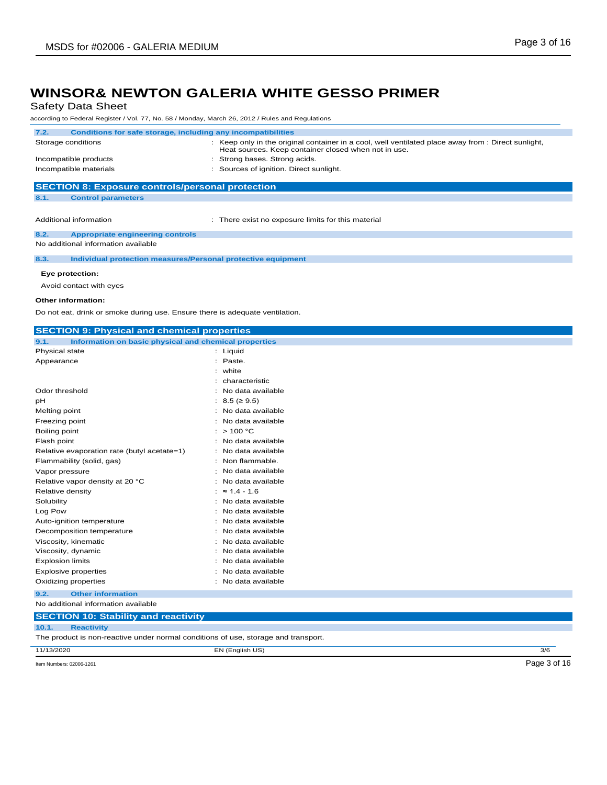Safety Data Sheet

according to Federal Register / Vol. 77, No. 58 / Monday, March 26, 2012 / Rules and Regulations

| Conditions for safe storage, including any incompatibilities<br>: Keep only in the original container in a cool, well ventilated place away from : Direct sunlight,<br>Heat sources. Keep container closed when not in use.<br>: Strong bases. Strong acids.<br>: Sources of ignition. Direct sunlight.<br><b>SECTION 8: Exposure controls/personal protection</b><br><b>Control parameters</b><br>: There exist no exposure limits for this material<br><b>Appropriate engineering controls</b><br>8.3.<br>Individual protection measures/Personal protective equipment<br>Eye protection:<br>Avoid contact with eyes |                                     | according to Federal Register / VOI. 77, NO. 30 / Monday, March 20, 2012 / Rules and Regulations |
|------------------------------------------------------------------------------------------------------------------------------------------------------------------------------------------------------------------------------------------------------------------------------------------------------------------------------------------------------------------------------------------------------------------------------------------------------------------------------------------------------------------------------------------------------------------------------------------------------------------------|-------------------------------------|--------------------------------------------------------------------------------------------------|
|                                                                                                                                                                                                                                                                                                                                                                                                                                                                                                                                                                                                                        | 7.2.                                |                                                                                                  |
|                                                                                                                                                                                                                                                                                                                                                                                                                                                                                                                                                                                                                        | Storage conditions                  |                                                                                                  |
|                                                                                                                                                                                                                                                                                                                                                                                                                                                                                                                                                                                                                        | Incompatible products               |                                                                                                  |
|                                                                                                                                                                                                                                                                                                                                                                                                                                                                                                                                                                                                                        | Incompatible materials              |                                                                                                  |
|                                                                                                                                                                                                                                                                                                                                                                                                                                                                                                                                                                                                                        |                                     |                                                                                                  |
|                                                                                                                                                                                                                                                                                                                                                                                                                                                                                                                                                                                                                        | 8.1.                                |                                                                                                  |
|                                                                                                                                                                                                                                                                                                                                                                                                                                                                                                                                                                                                                        |                                     |                                                                                                  |
|                                                                                                                                                                                                                                                                                                                                                                                                                                                                                                                                                                                                                        | Additional information              |                                                                                                  |
|                                                                                                                                                                                                                                                                                                                                                                                                                                                                                                                                                                                                                        | 8.2.                                |                                                                                                  |
|                                                                                                                                                                                                                                                                                                                                                                                                                                                                                                                                                                                                                        | No additional information available |                                                                                                  |
|                                                                                                                                                                                                                                                                                                                                                                                                                                                                                                                                                                                                                        |                                     |                                                                                                  |
|                                                                                                                                                                                                                                                                                                                                                                                                                                                                                                                                                                                                                        |                                     |                                                                                                  |
|                                                                                                                                                                                                                                                                                                                                                                                                                                                                                                                                                                                                                        |                                     |                                                                                                  |
|                                                                                                                                                                                                                                                                                                                                                                                                                                                                                                                                                                                                                        |                                     |                                                                                                  |
|                                                                                                                                                                                                                                                                                                                                                                                                                                                                                                                                                                                                                        | Other information:                  |                                                                                                  |
| Do not eat, drink or smoke during use. Ensure there is adequate ventilation.                                                                                                                                                                                                                                                                                                                                                                                                                                                                                                                                           |                                     |                                                                                                  |

| <b>SECTION 9: Physical and chemical properties</b>                                 |                     |  |
|------------------------------------------------------------------------------------|---------------------|--|
| Information on basic physical and chemical properties<br>9.1.                      |                     |  |
| Physical state                                                                     | : Liquid            |  |
| Appearance                                                                         | Paste.              |  |
|                                                                                    | white               |  |
|                                                                                    | characteristic      |  |
| Odor threshold                                                                     | No data available   |  |
| pH                                                                                 | $8.5 \approx 9.5$   |  |
| Melting point                                                                      | No data available   |  |
| Freezing point                                                                     | No data available   |  |
| Boiling point                                                                      | > 100 °C            |  |
| Flash point                                                                        | No data available   |  |
| Relative evaporation rate (butyl acetate=1)                                        | No data available   |  |
| Flammability (solid, gas)                                                          | Non flammable.      |  |
| Vapor pressure                                                                     | No data available   |  |
| Relative vapor density at 20 °C                                                    | No data available   |  |
| Relative density                                                                   | $\approx$ 1.4 - 1.6 |  |
| Solubility                                                                         | No data available   |  |
| Log Pow                                                                            | No data available   |  |
| Auto-ignition temperature                                                          | No data available   |  |
| Decomposition temperature                                                          | No data available   |  |
| Viscosity, kinematic                                                               | No data available   |  |
| Viscosity, dynamic                                                                 | No data available   |  |
| <b>Explosion limits</b>                                                            | No data available   |  |
| <b>Explosive properties</b>                                                        | No data available   |  |
| Oxidizing properties                                                               | No data available   |  |
| <b>Other information</b><br>9.2.                                                   |                     |  |
| No additional information available                                                |                     |  |
| <b>SECTION 10: Stability and reactivity</b>                                        |                     |  |
| 10.1.<br><b>Reactivity</b>                                                         |                     |  |
| The product is non-reactive under normal conditions of use, storage and transport. |                     |  |

11/13/2020 EN (English US) 3/6

Item Numbers: 02006-1261 Page 3 of 16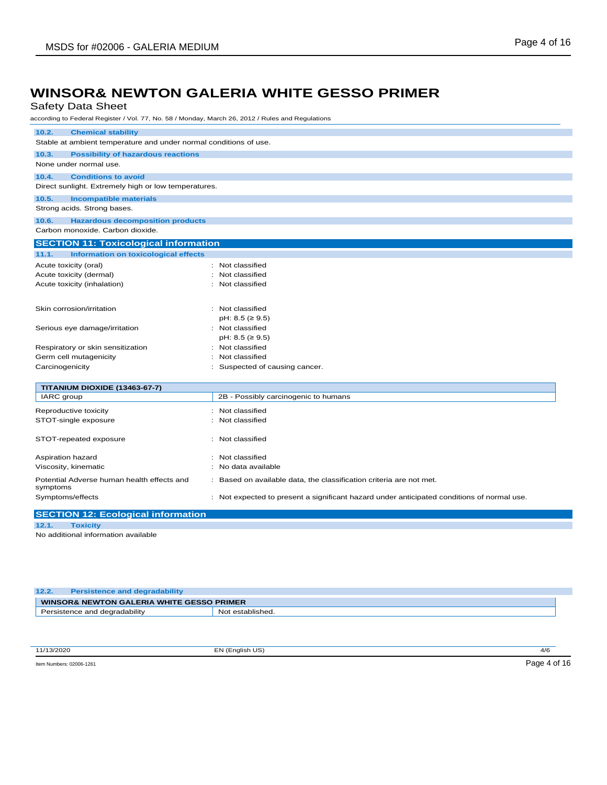Safety Data Sheet

according to Federal Register / Vol. 77, No. 58 / Monday, March 26, 2012 / Rules and Regulations

| 10.2.<br><b>Chemical stability</b>                                |                                                                                            |  |  |
|-------------------------------------------------------------------|--------------------------------------------------------------------------------------------|--|--|
| Stable at ambient temperature and under normal conditions of use. |                                                                                            |  |  |
| 10.3.<br><b>Possibility of hazardous reactions</b>                |                                                                                            |  |  |
| None under normal use.                                            |                                                                                            |  |  |
| <b>Conditions to avoid</b><br>10.4.                               |                                                                                            |  |  |
| Direct sunlight. Extremely high or low temperatures.              |                                                                                            |  |  |
| 10.5.<br><b>Incompatible materials</b>                            |                                                                                            |  |  |
| Strong acids. Strong bases.                                       |                                                                                            |  |  |
| <b>Hazardous decomposition products</b><br>10.6.                  |                                                                                            |  |  |
| Carbon monoxide. Carbon dioxide.                                  |                                                                                            |  |  |
| <b>SECTION 11: Toxicological information</b>                      |                                                                                            |  |  |
| 11.1.<br><b>Information on toxicological effects</b>              |                                                                                            |  |  |
| Acute toxicity (oral)                                             | : Not classified                                                                           |  |  |
| Acute toxicity (dermal)                                           | Not classified                                                                             |  |  |
| Acute toxicity (inhalation)                                       | : Not classified                                                                           |  |  |
|                                                                   |                                                                                            |  |  |
| Skin corrosion/irritation                                         | : Not classified                                                                           |  |  |
|                                                                   | $pH: 8.5 ( \geq 9.5)$                                                                      |  |  |
| Serious eye damage/irritation                                     | : Not classified                                                                           |  |  |
|                                                                   | $pH: 8.5 ( \geq 9.5)$                                                                      |  |  |
| Respiratory or skin sensitization                                 | Not classified                                                                             |  |  |
| Germ cell mutagenicity                                            | Not classified                                                                             |  |  |
| Carcinogenicity                                                   | Suspected of causing cancer.                                                               |  |  |
| TITANIUM DIOXIDE (13463-67-7)                                     |                                                                                            |  |  |
| IARC group                                                        | 2B - Possibly carcinogenic to humans                                                       |  |  |
| Reproductive toxicity                                             | Not classified                                                                             |  |  |
| STOT-single exposure                                              | Not classified                                                                             |  |  |
|                                                                   |                                                                                            |  |  |
| STOT-repeated exposure                                            | : Not classified                                                                           |  |  |
| Aspiration hazard                                                 | Not classified                                                                             |  |  |
| Viscosity, kinematic                                              | No data available                                                                          |  |  |
|                                                                   |                                                                                            |  |  |
| Potential Adverse human health effects and<br>symptoms            | Based on available data, the classification criteria are not met.                          |  |  |
| Symptoms/effects                                                  | : Not expected to present a significant hazard under anticipated conditions of normal use. |  |  |
|                                                                   |                                                                                            |  |  |

#### **SECTION 12: Ecological information**

```
12.1. Toxicity
```
No additional information available

| 12.2.<br><b>Persistence and degradability</b>        |                  |
|------------------------------------------------------|------------------|
| <b>WINSOR&amp; NEWTON GALERIA WHITE GESSO PRIMER</b> |                  |
| Persistence and degradability                        | Not established. |

| 11/13/2020                    | EN (English US) | 4/6         |
|-------------------------------|-----------------|-------------|
| Item Numbers: 02006-1261<br>. |                 | Page<br>- ສ |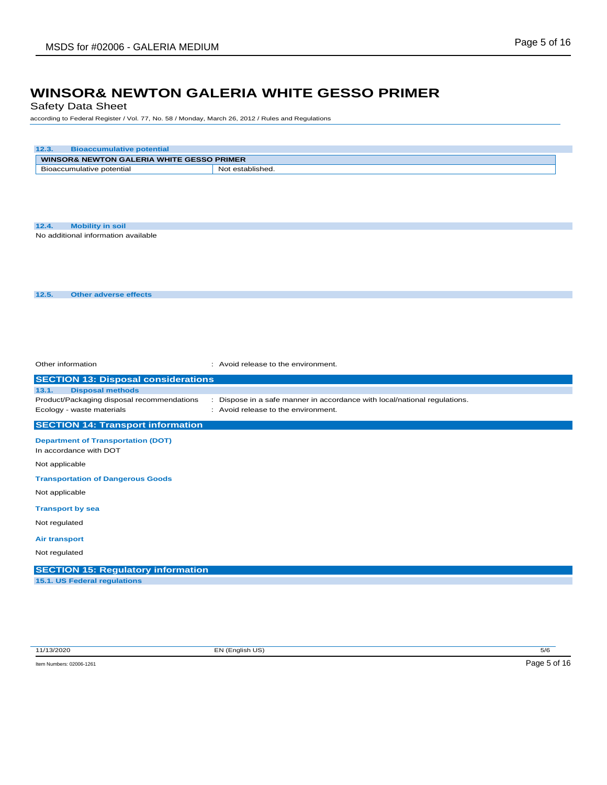Safety Data Sheet

according to Federal Register / Vol. 77, No. 58 / Monday, March 26, 2012 / Rules and Regulations

| 12.3.<br><b>Bioaccumulative potential</b>  |                                                                           |
|--------------------------------------------|---------------------------------------------------------------------------|
| WINSOR& NEWTON GALERIA WHITE GESSO PRIMER  |                                                                           |
| Bioaccumulative potential                  | Not established.                                                          |
|                                            |                                                                           |
|                                            |                                                                           |
|                                            |                                                                           |
| <b>Mobility in soil</b><br>12.4.           |                                                                           |
| No additional information available        |                                                                           |
|                                            |                                                                           |
|                                            |                                                                           |
|                                            |                                                                           |
|                                            |                                                                           |
| 12.5.<br><b>Other adverse effects</b>      |                                                                           |
|                                            |                                                                           |
|                                            |                                                                           |
|                                            |                                                                           |
|                                            |                                                                           |
| Other information                          | : Avoid release to the environment.                                       |
| <b>SECTION 13: Disposal considerations</b> |                                                                           |
| <b>Disposal methods</b><br>13.1.           |                                                                           |
| Product/Packaging disposal recommendations | : Dispose in a safe manner in accordance with local/national regulations. |
| Ecology - waste materials                  | : Avoid release to the environment.                                       |
| <b>SECTION 14: Transport information</b>   |                                                                           |
| <b>Department of Transportation (DOT)</b>  |                                                                           |
| In accordance with DOT                     |                                                                           |
| Not applicable                             |                                                                           |
| <b>Transportation of Dangerous Goods</b>   |                                                                           |
| Not applicable                             |                                                                           |
| <b>Transport by sea</b>                    |                                                                           |
| Not regulated                              |                                                                           |
| <b>Air transport</b>                       |                                                                           |
| Not regulated                              |                                                                           |
|                                            |                                                                           |
| <b>SECTION 15: Regulatory information</b>  |                                                                           |
| 15.1. US Federal regulations               |                                                                           |

11/13/2020 EN (English US) 5/6

Item Numbers: 02006-1261 Page 5 of 16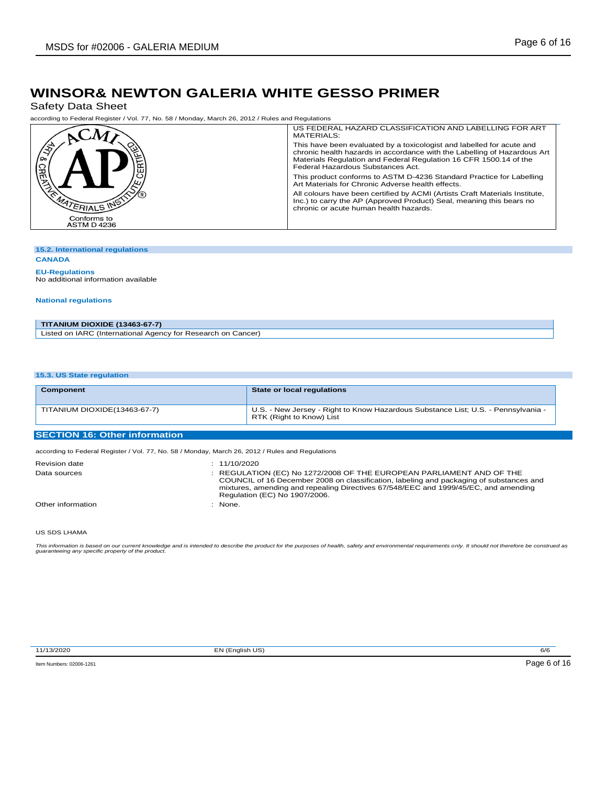Safety Data Sheet

according to Federal Register / Vol. 77, No. 58 / Monday, March 26, 2012 / Rules and Regulations

|                                  | US FEDERAL HAZARD CLASSIFICATION AND LABELLING FOR ART<br>MATERIALS:                                                                                                                                                                                        |
|----------------------------------|-------------------------------------------------------------------------------------------------------------------------------------------------------------------------------------------------------------------------------------------------------------|
| / ୨୦                             | This have been evaluated by a toxicologist and labelled for acute and<br>chronic health hazards in accordance with the Labelling of Hazardous Art<br>Materials Regulation and Federal Regulation 16 CFR 1500.14 of the<br>Federal Hazardous Substances Act. |
|                                  | This product conforms to ASTM D-4236 Standard Practice for Labelling<br>Art Materials for Chronic Adverse health effects.                                                                                                                                   |
| ATERIALS INS                     | All colours have been certified by ACMI (Artists Craft Materials Institute,<br>Inc.) to carry the AP (Approved Product) Seal, meaning this bears no<br>chronic or acute human health hazards.                                                               |
| Conforms to<br><b>ASTM D4236</b> |                                                                                                                                                                                                                                                             |

#### **15.2. International regulations**

#### **CANADA**

**EU-Regulations** No additional information available

#### **National regulations**

| <b>TITANIUM DIOXIDE (13463-67-7)</b>                         |  |
|--------------------------------------------------------------|--|
| Listed on IARC (International Agency for Research on Cancer) |  |

#### **15.3. US State regulation**

| Component                            | State or local regulations                                                                                    |
|--------------------------------------|---------------------------------------------------------------------------------------------------------------|
| TITANIUM DIOXIDE(13463-67-7)         | U.S. - New Jersey - Right to Know Hazardous Substance List; U.S. - Pennsylvania -<br>RTK (Right to Know) List |
| <b>SECTION 16: Other information</b> |                                                                                                               |
|                                      | according to Federal Register / Vol. 77, No. 58 / Monday, March 26, 2012 / Rules and Regulations              |
| <b>Dovision data</b>                 | . 11/10/2020                                                                                                  |

| <b>Revision date</b> | : 11/10/2020                                                                                                                                                                                                                                                                          |
|----------------------|---------------------------------------------------------------------------------------------------------------------------------------------------------------------------------------------------------------------------------------------------------------------------------------|
| Data sources         | REGULATION (EC) No 1272/2008 OF THE EUROPEAN PARLIAMENT AND OF THE<br>COUNCIL of 16 December 2008 on classification, labeling and packaging of substances and<br>mixtures, amending and repealing Directives 67/548/EEC and 1999/45/EC, and amending<br>Regulation (EC) No 1907/2006. |
| Other information    | None.                                                                                                                                                                                                                                                                                 |

#### US SDS LHAMA

This information is based on our current knowledge and is intended to describe the product for the purposes of health, safety and environmental requirements only. It should not therefore be construed as<br>guaranteeing any sp

11/13/2020 EN (English US) 6/6

Item Numbers: 02006-1261 Page 6 of 16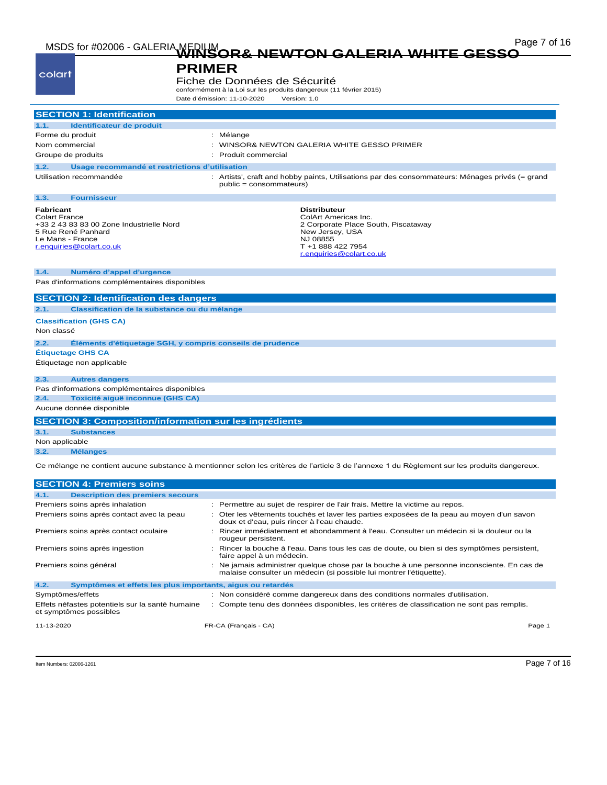| colart                                                                                                                                                                                                                         | <b>PRIMER</b><br>Fiche de Données de Sécurité<br>conformément à la Loi sur les produits dangereux (11 février 2015)<br>Date d'émission: 11-10-2020<br>Version: 1.0 |
|--------------------------------------------------------------------------------------------------------------------------------------------------------------------------------------------------------------------------------|--------------------------------------------------------------------------------------------------------------------------------------------------------------------|
| <b>SECTION 1: Identification</b>                                                                                                                                                                                               |                                                                                                                                                                    |
| Identificateur de produit<br>1.1.                                                                                                                                                                                              |                                                                                                                                                                    |
| Forme du produit                                                                                                                                                                                                               | : Mélange                                                                                                                                                          |
| Nom commercial                                                                                                                                                                                                                 | : WINSOR& NEWTON GALERIA WHITE GESSO PRIMER                                                                                                                        |
| Groupe de produits                                                                                                                                                                                                             | Produit commercial                                                                                                                                                 |
| 1.2.<br>Usage recommandé et restrictions d'utilisation                                                                                                                                                                         |                                                                                                                                                                    |
| Utilisation recommandée                                                                                                                                                                                                        | : Artists', craft and hobby paints, Utilisations par des consommateurs: Ménages privés (= grand<br>public = consommateurs)                                         |
| 1.3.<br><b>Fournisseur</b>                                                                                                                                                                                                     |                                                                                                                                                                    |
| <b>Fabricant</b><br><b>Colart France</b><br>+33 2 43 83 83 00 Zone Industrielle Nord<br>5 Rue René Panhard<br>Le Mans - France<br>r.enquiries@colart.co.uk                                                                     | <b>Distributeur</b><br>ColArt Americas Inc.<br>2 Corporate Place South, Piscataway<br>New Jersey, USA<br>NJ 08855<br>T +1 888 422 7954<br>r.enquiries@colart.co.uk |
| Numéro d'appel d'urgence<br>1.4.<br>Pas d'informations complémentaires disponibles                                                                                                                                             |                                                                                                                                                                    |
|                                                                                                                                                                                                                                |                                                                                                                                                                    |
| <b>SECTION 2: Identification des dangers</b>                                                                                                                                                                                   |                                                                                                                                                                    |
| Classification de la substance ou du mélange<br>2.1.                                                                                                                                                                           |                                                                                                                                                                    |
|                                                                                                                                                                                                                                |                                                                                                                                                                    |
|                                                                                                                                                                                                                                |                                                                                                                                                                    |
|                                                                                                                                                                                                                                | Éléments d'étiquetage SGH, y compris conseils de prudence                                                                                                          |
|                                                                                                                                                                                                                                |                                                                                                                                                                    |
|                                                                                                                                                                                                                                |                                                                                                                                                                    |
| <b>Autres dangers</b>                                                                                                                                                                                                          |                                                                                                                                                                    |
|                                                                                                                                                                                                                                |                                                                                                                                                                    |
| Toxicité aiguë inconnue (GHS CA)                                                                                                                                                                                               |                                                                                                                                                                    |
|                                                                                                                                                                                                                                |                                                                                                                                                                    |
|                                                                                                                                                                                                                                | <b>SECTION 3: Composition/information sur les ingrédients</b>                                                                                                      |
| <b>Substances</b>                                                                                                                                                                                                              |                                                                                                                                                                    |
| <b>Classification (GHS CA)</b><br>Non classé<br>2.2.<br>Étiquetage GHS CA<br>Étiquetage non applicable<br>2.3.<br>Pas d'informations complémentaires disponibles<br>2.4.<br>Aucune donnée disponible<br>3.1.<br>Non applicable |                                                                                                                                                                    |

| 4.1.                                                                      | <b>Description des premiers secours</b>                    |  |                                                                                                                                                                   |        |
|---------------------------------------------------------------------------|------------------------------------------------------------|--|-------------------------------------------------------------------------------------------------------------------------------------------------------------------|--------|
|                                                                           | Premiers soins après inhalation                            |  | : Permettre au sujet de respirer de l'air frais. Mettre la victime au repos.                                                                                      |        |
| Premiers soins après contact avec la peau                                 |                                                            |  | : Oter les vêtements touchés et laver les parties exposées de la peau au moyen d'un savon<br>doux et d'eau, puis rincer à l'eau chaude.                           |        |
|                                                                           | Premiers soins après contact oculaire                      |  | : Rincer immédiatement et abondamment à l'eau. Consulter un médecin si la douleur ou la<br>rougeur persistent.                                                    |        |
|                                                                           | Premiers soins après ingestion                             |  | : Rincer la bouche à l'eau. Dans tous les cas de doute, ou bien si des symptômes persistent,<br>faire appel à un médecin.                                         |        |
| Premiers soins général                                                    |                                                            |  | : Ne jamais administrer quelque chose par la bouche à une personne inconsciente. En cas de<br>malaise consulter un médecin (si possible lui montrer l'étiquette). |        |
| 4.2.                                                                      | Symptômes et effets les plus importants, aigus ou retardés |  |                                                                                                                                                                   |        |
| Symptômes/effets                                                          |                                                            |  | : Non considéré comme dangereux dans des conditions normales d'utilisation.                                                                                       |        |
| Effets néfastes potentiels sur la santé humaine<br>et symptômes possibles |                                                            |  | : Compte tenu des données disponibles, les critères de classification ne sont pas remplis.                                                                        |        |
| 11-13-2020                                                                |                                                            |  | FR-CA (Français - CA)                                                                                                                                             | Page 1 |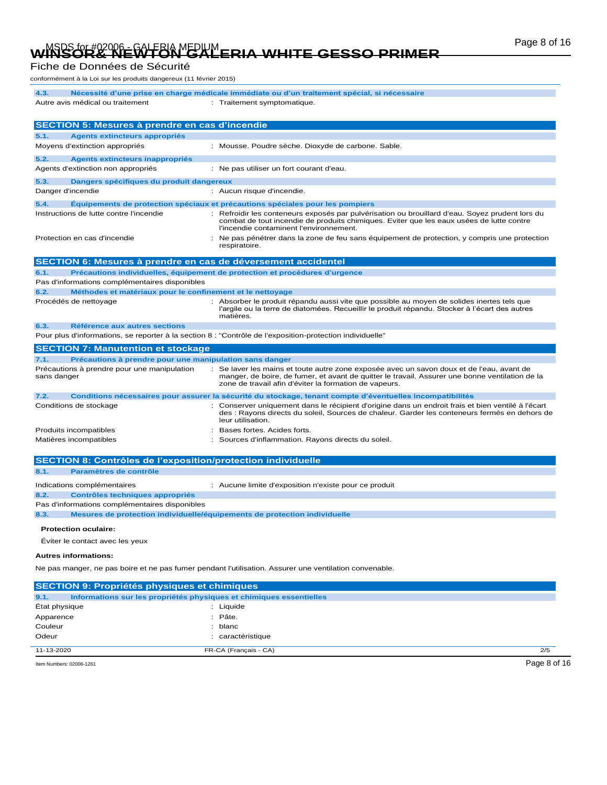# Page 8 of 16 MSDS for #02006 - GALERIA MEDIUM **WINSOR& NEWTON GALERIA WHITE GESSO PRIMER**

#### Fiche de Données de Sécurité

conformément à la Loi sur les produits dangereux (11 février 2015)

| onionnement a la Loi sur les produits dangereux (11 levrier 2013)                                         |                                                                                                                                                                                                                                                        |  |  |
|-----------------------------------------------------------------------------------------------------------|--------------------------------------------------------------------------------------------------------------------------------------------------------------------------------------------------------------------------------------------------------|--|--|
| 4.3.                                                                                                      | Nécessité d'une prise en charge médicale immédiate ou d'un traitement spécial, si nécessaire                                                                                                                                                           |  |  |
| Autre avis médical ou traitement                                                                          | : Traitement symptomatique.                                                                                                                                                                                                                            |  |  |
|                                                                                                           |                                                                                                                                                                                                                                                        |  |  |
| SECTION 5: Mesures à prendre en cas d'incendie                                                            |                                                                                                                                                                                                                                                        |  |  |
| 5.1.<br><b>Agents extincteurs appropriés</b>                                                              |                                                                                                                                                                                                                                                        |  |  |
| Moyens d'extinction appropriés                                                                            | : Mousse. Poudre sèche. Dioxyde de carbone. Sable.                                                                                                                                                                                                     |  |  |
|                                                                                                           |                                                                                                                                                                                                                                                        |  |  |
| 5.2.<br>Agents extincteurs inappropriés                                                                   |                                                                                                                                                                                                                                                        |  |  |
| Agents d'extinction non appropriés                                                                        | : Ne pas utiliser un fort courant d'eau.                                                                                                                                                                                                               |  |  |
| 5.3.<br>Dangers spécifiques du produit dangereux                                                          |                                                                                                                                                                                                                                                        |  |  |
| Danger d'incendie                                                                                         | : Aucun risque d'incendie.                                                                                                                                                                                                                             |  |  |
| 5.4.                                                                                                      | Equipements de protection spéciaux et précautions spéciales pour les pompiers                                                                                                                                                                          |  |  |
| Instructions de lutte contre l'incendie                                                                   | : Refroidir les conteneurs exposés par pulvérisation ou brouillard d'eau. Soyez prudent lors du<br>combat de tout incendie de produits chimiques. Eviter que les eaux usées de lutte contre                                                            |  |  |
|                                                                                                           | l'incendie contaminent l'environnement.                                                                                                                                                                                                                |  |  |
| Protection en cas d'incendie                                                                              | Ne pas pénétrer dans la zone de feu sans équipement de protection, y compris une protection<br>respiratoire.                                                                                                                                           |  |  |
| SECTION 6: Mesures à prendre en cas de déversement accidentel                                             |                                                                                                                                                                                                                                                        |  |  |
| 6.1.                                                                                                      | Précautions individuelles, équipement de protection et procédures d'urgence                                                                                                                                                                            |  |  |
| Pas d'informations complémentaires disponibles                                                            |                                                                                                                                                                                                                                                        |  |  |
| 6.2.<br>Méthodes et matériaux pour le confinement et le nettoyage                                         |                                                                                                                                                                                                                                                        |  |  |
| Procédés de nettoyage                                                                                     | : Absorber le produit répandu aussi vite que possible au moyen de solides inertes tels que                                                                                                                                                             |  |  |
|                                                                                                           | l'argile ou la terre de diatomées. Recueillir le produit répandu. Stocker à l'écart des autres<br>matières.                                                                                                                                            |  |  |
| 6.3.<br>Référence aux autres sections                                                                     |                                                                                                                                                                                                                                                        |  |  |
| Pour plus d'informations, se reporter à la section 8 : "Contrôle de l'exposition-protection individuelle" |                                                                                                                                                                                                                                                        |  |  |
| <b>SECTION 7: Manutention et stockage</b>                                                                 |                                                                                                                                                                                                                                                        |  |  |
| Précautions à prendre pour une manipulation sans danger<br>7.1.                                           |                                                                                                                                                                                                                                                        |  |  |
| Précautions à prendre pour une manipulation<br>sans danger                                                | : Se laver les mains et toute autre zone exposée avec un savon doux et de l'eau, avant de<br>manger, de boire, de fumer, et avant de quitter le travail. Assurer une bonne ventilation de la<br>zone de travail afin d'éviter la formation de vapeurs. |  |  |
| 7.2.                                                                                                      | Conditions nécessaires pour assurer la sécurité du stockage, tenant compte d'éventuelles incompatibilités                                                                                                                                              |  |  |
| Conditions de stockage                                                                                    | Conserver uniquement dans le récipient d'origine dans un endroit frais et bien ventilé à l'écart<br>des : Rayons directs du soleil, Sources de chaleur. Garder les conteneurs fermés en dehors de<br>leur utilisation.                                 |  |  |
| Produits incompatibles                                                                                    | Bases fortes. Acides forts.                                                                                                                                                                                                                            |  |  |
| Matières incompatibles                                                                                    | : Sources d'inflammation. Rayons directs du soleil.                                                                                                                                                                                                    |  |  |
|                                                                                                           |                                                                                                                                                                                                                                                        |  |  |
| <b>SECTION 8: Contrôles de l'exposition/protection individuelle</b>                                       |                                                                                                                                                                                                                                                        |  |  |
| 8.1.<br>Paramètres de contrôle                                                                            |                                                                                                                                                                                                                                                        |  |  |
| Indications complémentaires<br>8.2.<br>Contrôles techniques appropriés                                    | : Aucune limite d'exposition n'existe pour ce produit                                                                                                                                                                                                  |  |  |
| Pas d'informations complémentaires disponibles                                                            |                                                                                                                                                                                                                                                        |  |  |
| Mesures de protection individuelle/équipements de protection individuelle<br>8.3.                         |                                                                                                                                                                                                                                                        |  |  |
| <b>Protection oculaire:</b>                                                                               |                                                                                                                                                                                                                                                        |  |  |
| Éviter le contact avec les yeux                                                                           |                                                                                                                                                                                                                                                        |  |  |
| <b>Autres informations:</b>                                                                               |                                                                                                                                                                                                                                                        |  |  |
|                                                                                                           |                                                                                                                                                                                                                                                        |  |  |
| Ne pas manger, ne pas boire et ne pas fumer pendant l'utilisation. Assurer une ventilation convenable.    |                                                                                                                                                                                                                                                        |  |  |
| <b>SECTION 9: Propriétés physiques et chimiques</b>                                                       |                                                                                                                                                                                                                                                        |  |  |
| Informations sur les propriétés physiques et chimiques essentielles<br>9.1.                               |                                                                                                                                                                                                                                                        |  |  |
| État physique                                                                                             | : Liquide                                                                                                                                                                                                                                              |  |  |
| Apparence                                                                                                 | : Pâte.                                                                                                                                                                                                                                                |  |  |

11-13-2020 FR-CA (Français - CA) 2/5

Item Numbers: 02006-1261 Page 8 of 16

Couleur : blanc Odeur : caractéristique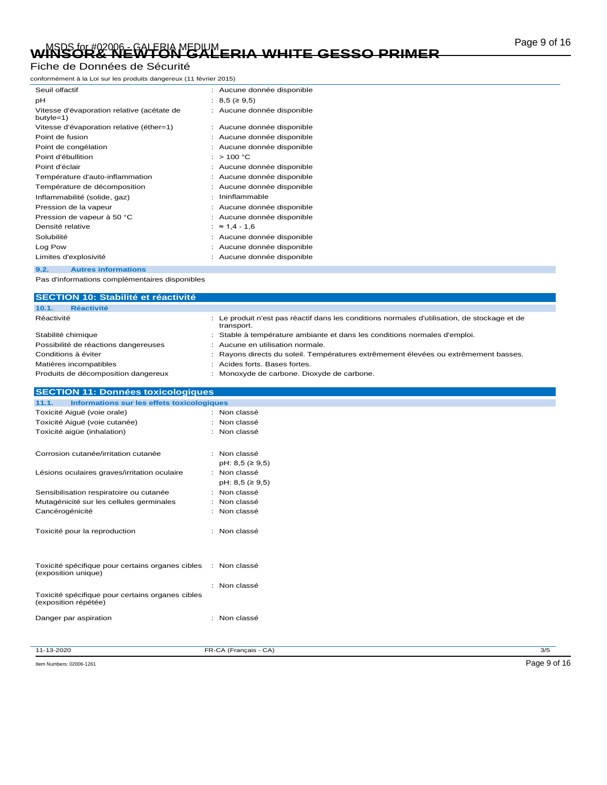# Page 9 of 16 MSDS for #02006 - GALERIA MEDIUM **WINSOR& NEWTON GALERIA WHITE GESSO PRIMER**

#### Fiche de Données de Sécurité

conformément à la Loi sur les produits dangereux (11 février 2015)

| Seuil olfactif                                          | : Aucune donnée disponible |
|---------------------------------------------------------|----------------------------|
| pH                                                      | : 8,5 (≥ 9,5)              |
| Vitesse d'évaporation relative (acétate de<br>butyle=1) | : Aucune donnée disponible |
| Vitesse d'évaporation relative (éther=1)                | : Aucune donnée disponible |
| Point de fusion                                         | Aucune donnée disponible   |
| Point de congélation                                    | Aucune donnée disponible   |
| Point d'ébullition                                      | >100 °C                    |
| Point d'éclair                                          | Aucune donnée disponible   |
| Température d'auto-inflammation                         | Aucune donnée disponible   |
| Température de décomposition                            | Aucune donnée disponible   |
| Inflammabilité (solide, gaz)                            | Ininflammable              |
| Pression de la vapeur                                   | Aucune donnée disponible   |
| Pression de vapeur à 50 °C                              | Aucune donnée disponible   |
| Densité relative                                        | $\approx$ 1,4 - 1,6        |
| Solubilité                                              | Aucune donnée disponible   |
| Log Pow                                                 | Aucune donnée disponible   |
| Limites d'explosivité                                   | Aucune donnée disponible   |
| <b>Autres informations</b><br>9.2.                      |                            |

| SECTION 10: Stabilité et réactivité  |                                                                                                            |
|--------------------------------------|------------------------------------------------------------------------------------------------------------|
| 10.1.<br><b>Réactivité</b>           |                                                                                                            |
| Réactivité                           | : Le produit n'est pas réactif dans les conditions normales d'utilisation, de stockage et de<br>transport. |
| Stabilité chimique                   | : Stable à température ambiante et dans les conditions normales d'emploi.                                  |
| Possibilité de réactions dangereuses | : Aucune en utilisation normale.                                                                           |
| Conditions à éviter                  | : Rayons directs du soleil. Températures extrêmement élevées ou extrêmement basses.                        |
| Matières incompatibles               | Acides forts, Bases fortes.                                                                                |
| Produits de décomposition dangereux  | Monoxyde de carbone. Dioxyde de carbone.                                                                   |

| <b>SECTION 11: Données toxicologiques</b>                                            |                       |
|--------------------------------------------------------------------------------------|-----------------------|
| 11.1.<br>Informations sur les effets toxicologiques                                  |                       |
| Toxicité Aiguë (voie orale)                                                          | : Non classé          |
| Toxicité Aiguë (voie cutanée)                                                        | : Non classé          |
| Toxicité aigüe (inhalation)                                                          | : Non classé          |
| Corrosion cutanée/irritation cutanée                                                 | : Non classé          |
|                                                                                      | $pH: 8,5 ( \geq 9,5)$ |
| Lésions oculaires graves/irritation oculaire                                         | : Non classé          |
|                                                                                      | $pH: 8,5 ( \geq 9,5)$ |
| Sensibilisation respiratoire ou cutanée                                              | : Non classé          |
| Mutagénicité sur les cellules germinales                                             | : Non classé          |
| Cancérogénicité                                                                      | : Non classé          |
| Toxicité pour la reproduction                                                        | : Non classé          |
|                                                                                      |                       |
|                                                                                      |                       |
| Toxicité spécifique pour certains organes cibles : Non classé<br>(exposition unique) |                       |
|                                                                                      | : Non classé          |
| Toxicité spécifique pour certains organes cibles<br>(exposition répétée)             |                       |
| Danger par aspiration                                                                | : Non classé          |
|                                                                                      |                       |
| 11-13-2020                                                                           | FR-CA (Français - CA) |

Item Numbers: 02006-1261 Page 9 of 16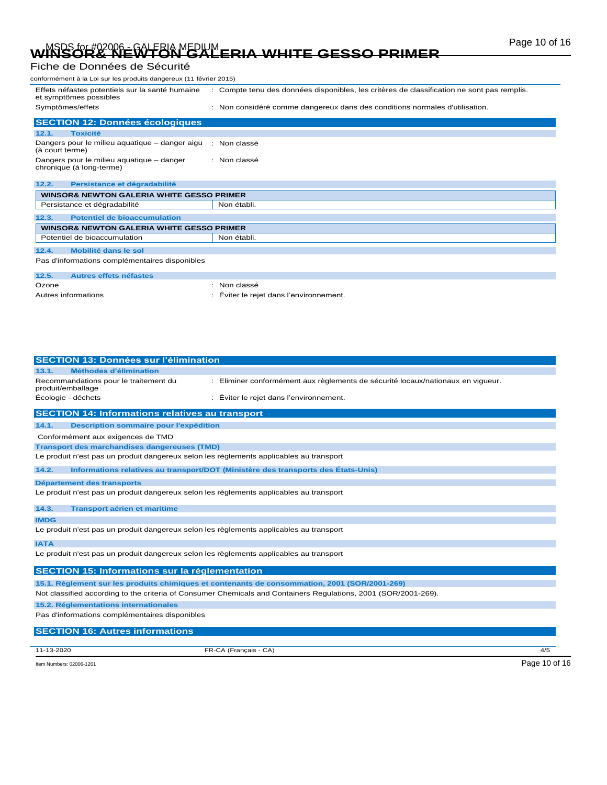# Page 10 of 16 MSDS for #02006 - GALERIA MEDIUM **WINSOR& NEWTON GALERIA WHITE GESSO PRIMER**

### Fiche de Données de Sécurité

| conformément à la Loi sur les produits dangereux (11 février 2015)        |                                                                                            |  |  |
|---------------------------------------------------------------------------|--------------------------------------------------------------------------------------------|--|--|
| Effets néfastes potentiels sur la santé humaine<br>et symptômes possibles | : Compte tenu des données disponibles, les critères de classification ne sont pas remplis. |  |  |
| Symptômes/effets                                                          | : Non considéré comme dangereux dans des conditions normales d'utilisation.                |  |  |
| <b>SECTION 12: Données écologiques</b>                                    |                                                                                            |  |  |
| <b>Toxicité</b><br>12.1.                                                  |                                                                                            |  |  |
| Dangers pour le milieu aquatique – danger aigu<br>(à court terme)         | : Non classé                                                                               |  |  |
| Dangers pour le milieu aquatique - danger<br>chronique (à long-terme)     | : Non classé                                                                               |  |  |
| 12.2.<br>Persistance et dégradabilité                                     |                                                                                            |  |  |
| <b>WINSOR&amp; NEWTON GALERIA WHITE GESSO PRIMER</b>                      |                                                                                            |  |  |
| Persistance et dégradabilité                                              | Non établi.                                                                                |  |  |
| <b>Potentiel de bioaccumulation</b><br>12.3.                              |                                                                                            |  |  |
| <b>WINSOR&amp; NEWTON GALERIA WHITE GESSO PRIMER</b>                      |                                                                                            |  |  |
| Potentiel de bioaccumulation                                              | Non établi.                                                                                |  |  |
| Mobilité dans le sol<br>12.4.                                             |                                                                                            |  |  |
| Pas d'informations complémentaires disponibles                            |                                                                                            |  |  |
| 12.5.<br>Autres effets néfastes                                           |                                                                                            |  |  |
| Ozone                                                                     | : Non classé                                                                               |  |  |
| Autres informations                                                       | Eviter le rejet dans l'environnement.                                                      |  |  |

| <b>SECTION 13: Données sur l'élimination</b>                                            |                                                                                                                 |               |
|-----------------------------------------------------------------------------------------|-----------------------------------------------------------------------------------------------------------------|---------------|
| Méthodes d'élimination<br>13.1.                                                         |                                                                                                                 |               |
| Recommandations pour le traitement du<br>produit/emballage                              | Eliminer conformément aux règlements de sécurité locaux/nationaux en vigueur.                                   |               |
| Écologie - déchets                                                                      | Éviter le rejet dans l'environnement.                                                                           |               |
| <b>SECTION 14: Informations relatives au transport</b>                                  |                                                                                                                 |               |
| 14.1.<br>Description sommaire pour l'expédition                                         |                                                                                                                 |               |
| Conformément aux exigences de TMD                                                       |                                                                                                                 |               |
| <b>Transport des marchandises dangereuses (TMD)</b>                                     |                                                                                                                 |               |
| Le produit n'est pas un produit dangereux selon les règlements applicables au transport |                                                                                                                 |               |
| 14.2.                                                                                   | Informations relatives au transport/DOT (Ministère des transports des États-Unis)                               |               |
| Département des transports                                                              |                                                                                                                 |               |
| Le produit n'est pas un produit dangereux selon les règlements applicables au transport |                                                                                                                 |               |
| 14.3.<br><b>Transport aérien et maritime</b>                                            |                                                                                                                 |               |
| <b>IMDG</b>                                                                             |                                                                                                                 |               |
| Le produit n'est pas un produit dangereux selon les règlements applicables au transport |                                                                                                                 |               |
| <b>IATA</b>                                                                             |                                                                                                                 |               |
| Le produit n'est pas un produit dangereux selon les règlements applicables au transport |                                                                                                                 |               |
| SECTION 15: Informations sur la réglementation                                          |                                                                                                                 |               |
|                                                                                         | 15.1. Règlement sur les produits chimiques et contenants de consommation, 2001 (SOR/2001-269)                   |               |
|                                                                                         | Not classified according to the criteria of Consumer Chemicals and Containers Regulations, 2001 (SOR/2001-269). |               |
| 15.2. Réglementations internationales                                                   |                                                                                                                 |               |
| Pas d'informations complémentaires disponibles                                          |                                                                                                                 |               |
| <b>SECTION 16: Autres informations</b>                                                  |                                                                                                                 |               |
| 11-13-2020                                                                              | FR-CA (Français - CA)                                                                                           | 4/5           |
| Item Numbers: 02006-1261                                                                |                                                                                                                 | Page 10 of 16 |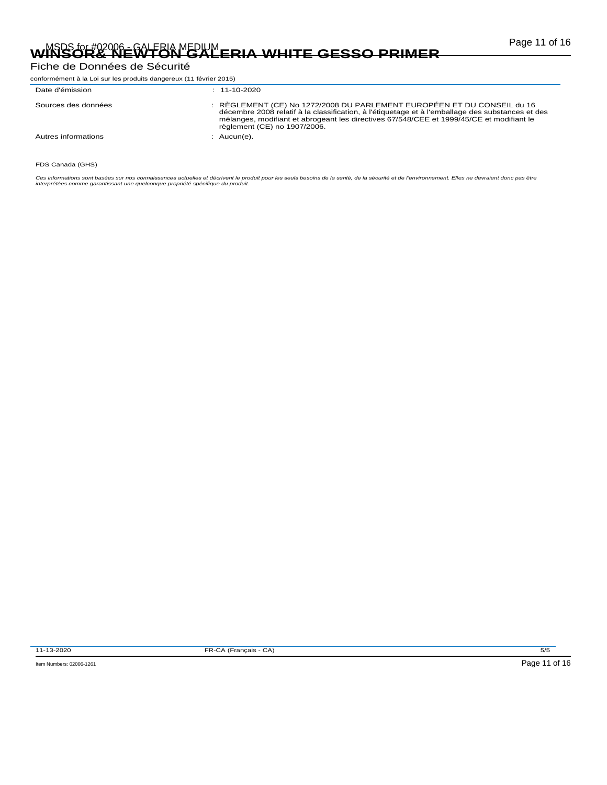# Page 11 of 16 MSDS for #02006 - GALERIA MEDIUM **WINSOR& NEWTON GALERIA WHITE GESSO PRIMER**

Fiche de Données de Sécurité

| conformément à la Loi sur les produits dangereux (11 février 2015) |                                                                                                                                                                                                                                                                                                         |  |  |
|--------------------------------------------------------------------|---------------------------------------------------------------------------------------------------------------------------------------------------------------------------------------------------------------------------------------------------------------------------------------------------------|--|--|
| Date d'émission                                                    | $: 11 - 10 - 2020$                                                                                                                                                                                                                                                                                      |  |  |
| Sources des données                                                | : RÈGLEMENT (CE) No 1272/2008 DU PARLEMENT EUROPÉEN ET DU CONSEIL du 16<br>décembre 2008 relatif à la classification, à l'étiquetage et à l'emballage des substances et des<br>mélanges, modifiant et abrogeant les directives 67/548/CEE et 1999/45/CE et modifiant le<br>règlement (CE) no 1907/2006. |  |  |
| Autres informations                                                | $:$ Aucun(e).                                                                                                                                                                                                                                                                                           |  |  |

FDS Canada (GHS)

Ces informations sont basées sur nos connaissances actuelles et décrivent le produit pour les seuls besoins de la santé, de la sécurité et de l'environnement. Elles ne devraient donc pas être<br>interprétées comme garantissan

11-13-2020 FR-CA (Français - CA) 5/5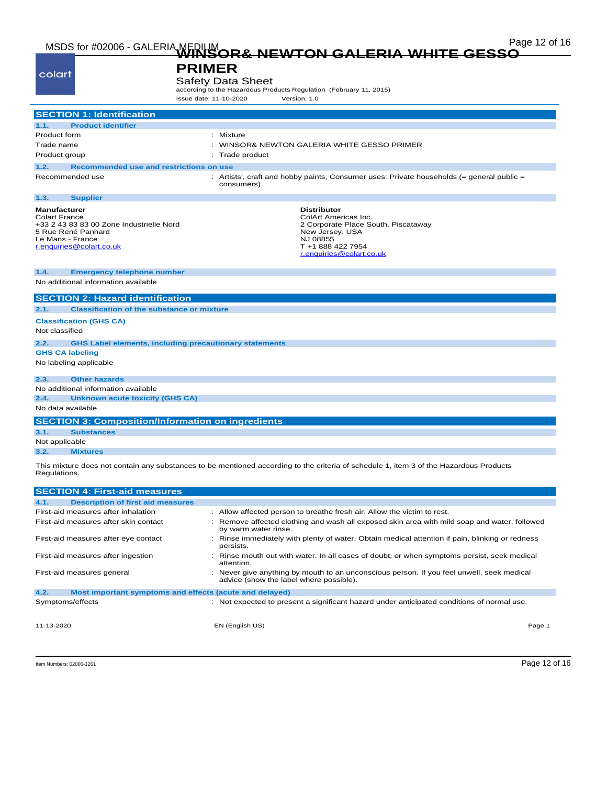| colart                                                                                                                                                 | <b>PRIMER</b><br><b>Safety Data Sheet</b><br>according to the Hazardous Products Regulation (February 11, 2015)<br>Issue date: 11-10-2020<br>Version: 1.0         |
|--------------------------------------------------------------------------------------------------------------------------------------------------------|-------------------------------------------------------------------------------------------------------------------------------------------------------------------|
| <b>SECTION 1: Identification</b>                                                                                                                       |                                                                                                                                                                   |
| <b>Product identifier</b><br>1.1.                                                                                                                      |                                                                                                                                                                   |
| Product form                                                                                                                                           | : Mixture                                                                                                                                                         |
| Trade name                                                                                                                                             | : WINSOR& NEWTON GALERIA WHITE GESSO PRIMER                                                                                                                       |
| Product group                                                                                                                                          | Trade product                                                                                                                                                     |
| 1.2.<br>Recommended use and restrictions on use                                                                                                        |                                                                                                                                                                   |
| Recommended use                                                                                                                                        | : Artists', craft and hobby paints, Consumer uses: Private households (= general public =<br>consumers)                                                           |
| 1.3.<br><b>Supplier</b>                                                                                                                                |                                                                                                                                                                   |
| Manufacturer<br><b>Colart France</b><br>+33 2 43 83 83 00 Zone Industrielle Nord<br>5 Rue René Panhard<br>Le Mans - France<br>r.enquiries@colart.co.uk | <b>Distributor</b><br>ColArt Americas Inc.<br>2 Corporate Place South, Piscataway<br>New Jersey, USA<br>NJ 08855<br>T +1 888 422 7954<br>r.enquiries@colart.co.uk |
| 1.4.<br><b>Emergency telephone number</b><br>No additional information available                                                                       |                                                                                                                                                                   |
| <b>SECTION 2: Hazard identification</b>                                                                                                                |                                                                                                                                                                   |
| 2.1.<br><b>Classification of the substance or mixture</b>                                                                                              |                                                                                                                                                                   |
| <b>Classification (GHS CA)</b>                                                                                                                         |                                                                                                                                                                   |
| Not classified                                                                                                                                         |                                                                                                                                                                   |
| 2.2.                                                                                                                                                   | <b>GHS Label elements, including precautionary statements</b>                                                                                                     |
| <b>GHS CA labeling</b>                                                                                                                                 |                                                                                                                                                                   |
| No labeling applicable                                                                                                                                 |                                                                                                                                                                   |
| <b>Other hazards</b><br>2.3.                                                                                                                           |                                                                                                                                                                   |
| No additional information available                                                                                                                    |                                                                                                                                                                   |
| 2.4.<br><b>Unknown acute toxicity (GHS CA)</b>                                                                                                         |                                                                                                                                                                   |
| No data available                                                                                                                                      |                                                                                                                                                                   |
| <b>SECTION 3: Composition/Information on ingredients</b>                                                                                               |                                                                                                                                                                   |
| <b>Substances</b>                                                                                                                                      |                                                                                                                                                                   |
| 3.1.                                                                                                                                                   |                                                                                                                                                                   |
| Not applicable<br>3.2.<br><b>Mixtures</b>                                                                                                              |                                                                                                                                                                   |

| <b>SECTION 4: First-aid measures</b>                            |                                                                                                                                    |  |
|-----------------------------------------------------------------|------------------------------------------------------------------------------------------------------------------------------------|--|
| <b>Description of first aid measures</b><br>4.1.                |                                                                                                                                    |  |
| First-aid measures after inhalation                             | : Allow affected person to breathe fresh air. Allow the victim to rest.                                                            |  |
| First-aid measures after skin contact                           | Remove affected clothing and wash all exposed skin area with mild soap and water, followed<br>by warm water rinse.                 |  |
| First-aid measures after eye contact                            | Rinse immediately with plenty of water. Obtain medical attention if pain, blinking or redness<br>persists.                         |  |
| First-aid measures after ingestion                              | Rinse mouth out with water. In all cases of doubt, or when symptoms persist, seek medical<br>attention.                            |  |
| First-aid measures general                                      | Never give anything by mouth to an unconscious person. If you feel unwell, seek medical<br>advice (show the label where possible). |  |
| 4.2.<br>Most important symptoms and effects (acute and delayed) |                                                                                                                                    |  |
| Symptoms/effects                                                | : Not expected to present a significant hazard under anticipated conditions of normal use.                                         |  |
| 11-13-2020                                                      | EN (English US)<br>Page 1                                                                                                          |  |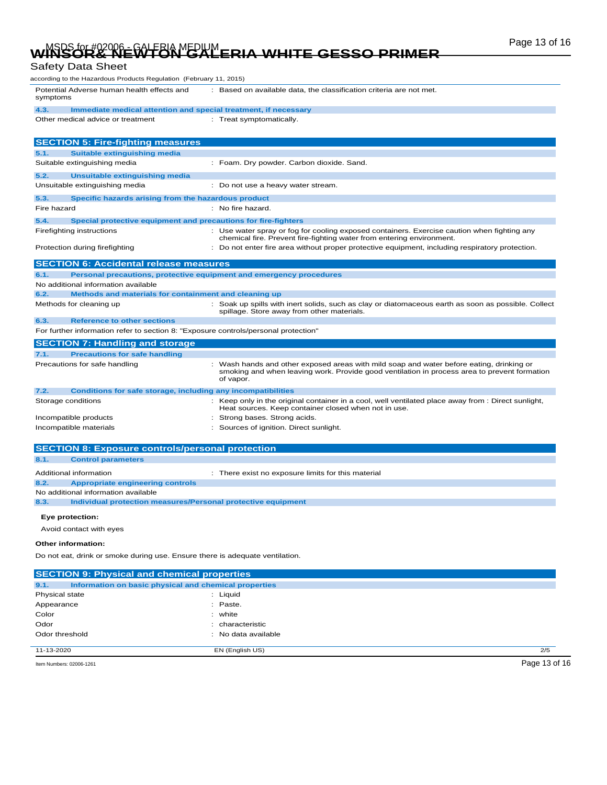# Page 13 of 16 MSDS for #02006 - GALERIA MEDIUM **WINSOR& NEWTON GALERIA WHITE GESSO PRIMER**

#### Safety Data Sheet

| according to the Hazardous Products Regulation  (February 11, 2015)                 |                                                                                                                                                                                                       |
|-------------------------------------------------------------------------------------|-------------------------------------------------------------------------------------------------------------------------------------------------------------------------------------------------------|
| Potential Adverse human health effects and<br>symptoms                              | : Based on available data, the classification criteria are not met.                                                                                                                                   |
| 4.3.<br>Immediate medical attention and special treatment, if necessary             |                                                                                                                                                                                                       |
| Other medical advice or treatment                                                   | : Treat symptomatically.                                                                                                                                                                              |
|                                                                                     |                                                                                                                                                                                                       |
| <b>SECTION 5: Fire-fighting measures</b>                                            |                                                                                                                                                                                                       |
| <b>Suitable extinguishing media</b><br>5.1.                                         |                                                                                                                                                                                                       |
| Suitable extinguishing media                                                        | : Foam. Dry powder. Carbon dioxide. Sand.                                                                                                                                                             |
| 5.2.<br>Unsuitable extinguishing media                                              |                                                                                                                                                                                                       |
| Unsuitable extinguishing media                                                      | : Do not use a heavy water stream.                                                                                                                                                                    |
| 5.3.<br>Specific hazards arising from the hazardous product                         |                                                                                                                                                                                                       |
| Fire hazard                                                                         | : No fire hazard.                                                                                                                                                                                     |
| 5.4.<br>Special protective equipment and precautions for fire-fighters              |                                                                                                                                                                                                       |
| Firefighting instructions                                                           | : Use water spray or fog for cooling exposed containers. Exercise caution when fighting any                                                                                                           |
|                                                                                     | chemical fire. Prevent fire-fighting water from entering environment.                                                                                                                                 |
| Protection during firefighting                                                      | : Do not enter fire area without proper protective equipment, including respiratory protection.                                                                                                       |
| <b>SECTION 6: Accidental release measures</b>                                       |                                                                                                                                                                                                       |
| 6.1.                                                                                | Personal precautions, protective equipment and emergency procedures                                                                                                                                   |
| No additional information available                                                 |                                                                                                                                                                                                       |
| 6.2.<br>Methods and materials for containment and cleaning up                       |                                                                                                                                                                                                       |
| Methods for cleaning up                                                             | : Soak up spills with inert solids, such as clay or diatomaceous earth as soon as possible. Collect                                                                                                   |
|                                                                                     | spillage. Store away from other materials.                                                                                                                                                            |
| 6.3.<br><b>Reference to other sections</b>                                          |                                                                                                                                                                                                       |
| For further information refer to section 8: "Exposure controls/personal protection" |                                                                                                                                                                                                       |
| <b>SECTION 7: Handling and storage</b>                                              |                                                                                                                                                                                                       |
| <b>Precautions for safe handling</b><br>7.1.                                        |                                                                                                                                                                                                       |
| Precautions for safe handling                                                       | : Wash hands and other exposed areas with mild soap and water before eating, drinking or<br>smoking and when leaving work. Provide good ventilation in process area to prevent formation<br>of vapor. |
| <b>Conditions for safe storage, including any incompatibilities</b><br>7.2.         |                                                                                                                                                                                                       |
| Storage conditions                                                                  | : Keep only in the original container in a cool, well ventilated place away from : Direct sunlight,<br>Heat sources. Keep container closed when not in use.                                           |
| Incompatible products                                                               | : Strong bases. Strong acids.                                                                                                                                                                         |
| Incompatible materials                                                              | : Sources of ignition. Direct sunlight.                                                                                                                                                               |
|                                                                                     |                                                                                                                                                                                                       |
| <b>SECTION 8: Exposure controls/personal protection</b>                             |                                                                                                                                                                                                       |
| 8.1.<br><b>Control parameters</b>                                                   |                                                                                                                                                                                                       |
| Additional information                                                              | : There exist no exposure limits for this material                                                                                                                                                    |
| 8.2.<br><b>Appropriate engineering controls</b>                                     |                                                                                                                                                                                                       |
| No additional information available                                                 |                                                                                                                                                                                                       |
| 8.3.<br>Individual protection measures/Personal protective equipment                |                                                                                                                                                                                                       |
| Eye protection:                                                                     |                                                                                                                                                                                                       |
| Avoid contact with eyes                                                             |                                                                                                                                                                                                       |
|                                                                                     |                                                                                                                                                                                                       |
| Other information:                                                                  |                                                                                                                                                                                                       |
| Do not eat, drink or smoke during use. Ensure there is adequate ventilation.        |                                                                                                                                                                                                       |
| <b>SECTION 9: Physical and chemical properties</b>                                  |                                                                                                                                                                                                       |
| 9.1.<br>Information on basic physical and chemical properties                       |                                                                                                                                                                                                       |
| Physical state                                                                      | $:$ Liquid                                                                                                                                                                                            |
| Appearance                                                                          | : Paste.                                                                                                                                                                                              |
| Color                                                                               | : white                                                                                                                                                                                               |
| Odor                                                                                | characteristic                                                                                                                                                                                        |
| Odor threshold                                                                      | : No data available                                                                                                                                                                                   |

Item Numbers: 02006-1261 Page 13 of 16

11-13-2020 EN (English US) 2/5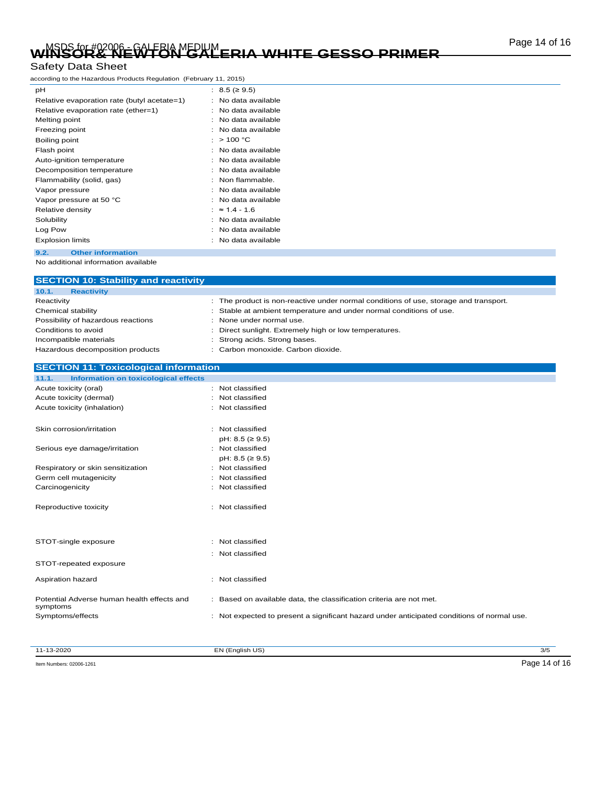# Page 14 of 16 MSDS for #02006 - GALERIA MEDIUM **WINSOR& NEWTON GALERIA WHITE GESSO PRIMER**

#### Safety Data Sheet

according to the Hazardous Products Regulation (February 11, 2015)

| рH                                          |   | : $8.5$ (≥ 9.5)       |
|---------------------------------------------|---|-----------------------|
| Relative evaporation rate (butyl acetate=1) |   | No data available     |
| Relative evaporation rate (ether=1)         |   | : No data available   |
| Melting point                               |   | No data available     |
| Freezing point                              |   | No data available     |
| Boiling point                               |   | : $> 100 °C$          |
| Flash point                                 | ٠ | No data available     |
| Auto-ignition temperature                   |   | No data available     |
| Decomposition temperature                   |   | : No data available   |
| Flammability (solid, gas)                   |   | : Non flammable.      |
| Vapor pressure                              |   | No data available     |
| Vapor pressure at 50 °C                     |   | No data available     |
| Relative density                            |   | : $\approx 1.4 - 1.6$ |
| Solubility                                  |   | No data available     |
| Log Pow                                     |   | : No data available   |
| <b>Explosion limits</b>                     |   | No data available     |
| <b>Other information</b><br>9.2.            |   |                       |

No additional information available

| <b>SECTION 10: Stability and reactivity</b>            |                                                                                                                                                           |
|--------------------------------------------------------|-----------------------------------------------------------------------------------------------------------------------------------------------------------|
| 10.1.<br><b>Reactivity</b>                             |                                                                                                                                                           |
| Reactivity<br>Chemical stability                       | : The product is non-reactive under normal conditions of use, storage and transport.<br>Stable at ambient temperature and under normal conditions of use. |
| Possibility of hazardous reactions                     | None under normal use.                                                                                                                                    |
| Conditions to avoid                                    | Direct sunlight. Extremely high or low temperatures.                                                                                                      |
| Incompatible materials                                 | Strong acids. Strong bases.                                                                                                                               |
| Hazardous decomposition products                       | Carbon monoxide, Carbon dioxide.                                                                                                                          |
| <b>SECTION 11: Toxicological information</b>           |                                                                                                                                                           |
| <b>Information on toxicological effects</b><br>11.1.   |                                                                                                                                                           |
| Acute toxicity (oral)                                  | : Not classified                                                                                                                                          |
| Acute toxicity (dermal)                                | : Not classified                                                                                                                                          |
| Acute toxicity (inhalation)                            | : Not classified                                                                                                                                          |
| Skin corrosion/irritation                              | : Not classified<br>$pH: 8.5 ( \geq 9.5)$                                                                                                                 |
| Serious eye damage/irritation                          | : Not classified<br>$pH: 8.5 ( \geq 9.5)$                                                                                                                 |
| Respiratory or skin sensitization                      | : Not classified                                                                                                                                          |
| Germ cell mutagenicity                                 | Not classified                                                                                                                                            |
| Carcinogenicity                                        | Not classified                                                                                                                                            |
| Reproductive toxicity                                  | : Not classified                                                                                                                                          |
| STOT-single exposure                                   | : Not classified                                                                                                                                          |
|                                                        | : Not classified                                                                                                                                          |
| STOT-repeated exposure                                 |                                                                                                                                                           |
| Aspiration hazard                                      | : Not classified                                                                                                                                          |
| Potential Adverse human health effects and<br>symptoms | : Based on available data, the classification criteria are not met.                                                                                       |
| Symptoms/effects                                       | : Not expected to present a significant hazard under anticipated conditions of normal use.                                                                |
|                                                        |                                                                                                                                                           |

11-13-2020 EN (English US) 3/5

Item Numbers: 02006-1261 Page 14 of 16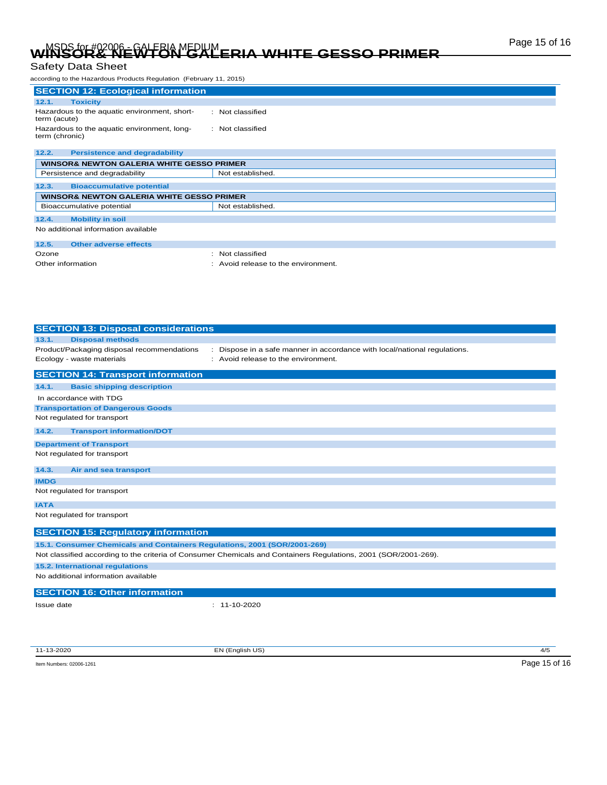# Page 15 of 16 MSDS for #02006 - GALERIA MEDIUM **WINSOR& NEWTON GALERIA WHITE GESSO PRIMER**

### Safety Data Sheet

| according to the Hazardous Products Regulation (February 11, 2015) |                    |  |
|--------------------------------------------------------------------|--------------------|--|
| <b>SECTION 12: Ecological information</b>                          |                    |  |
| <b>Toxicity</b><br>12.1.                                           |                    |  |
| Hazardous to the aquatic environment, short-<br>term (acute)       | $:$ Not classified |  |
| Hazardous to the aquatic environment, long-<br>term (chronic)      | : Not classified   |  |
| <b>Persistence and degradability</b><br>12.2.                      |                    |  |
| <b>WINSOR&amp; NEWTON GALERIA WHITE GESSO PRIMER</b>               |                    |  |
| Persistence and degradability                                      | Not established.   |  |
| <b>Bioaccumulative potential</b><br>12.3.                          |                    |  |
| <b>WINSOR&amp; NEWTON GALERIA WHITE GESSO PRIMER</b>               |                    |  |
| Bioaccumulative potential                                          | Not established.   |  |
|                                                                    |                    |  |

**12.4. Mobility in soil** No additional information available

| 12.5.             | Other adverse effects |                                     |
|-------------------|-----------------------|-------------------------------------|
| Ozone             |                       | : Not classified                    |
| Other information |                       | : Avoid release to the environment. |

| <b>SECTION 13: Disposal considerations</b>                                                                            |  |
|-----------------------------------------------------------------------------------------------------------------------|--|
| <b>Disposal methods</b><br>13.1.                                                                                      |  |
| Product/Packaging disposal recommendations<br>Dispose in a safe manner in accordance with local/national regulations. |  |
| Ecology - waste materials<br>Avoid release to the environment.                                                        |  |
| <b>SECTION 14: Transport information</b>                                                                              |  |
| 14.1.<br><b>Basic shipping description</b>                                                                            |  |
| In accordance with TDG                                                                                                |  |
| <b>Transportation of Dangerous Goods</b>                                                                              |  |
| Not regulated for transport                                                                                           |  |
| <b>Transport information/DOT</b><br>14.2.                                                                             |  |
| <b>Department of Transport</b>                                                                                        |  |
| Not regulated for transport                                                                                           |  |
| 14.3.<br>Air and sea transport                                                                                        |  |
| <b>IMDG</b>                                                                                                           |  |
| Not regulated for transport                                                                                           |  |
| <b>IATA</b>                                                                                                           |  |
| Not regulated for transport                                                                                           |  |
| <b>SECTION 15: Regulatory information</b>                                                                             |  |
| 15.1. Consumer Chemicals and Containers Regulations, 2001 (SOR/2001-269)                                              |  |
| Not classified according to the criteria of Consumer Chemicals and Containers Regulations, 2001 (SOR/2001-269).       |  |
| 15.2. International regulations                                                                                       |  |
| No additional information available                                                                                   |  |
| <b>SECTION 16: Other information</b>                                                                                  |  |
| $: 11 - 10 - 2020$<br>Issue date                                                                                      |  |
|                                                                                                                       |  |
|                                                                                                                       |  |
|                                                                                                                       |  |

11-13-2020 EN (English US) 4/5

Item Numbers: 02006-1261 Page 15 of 16